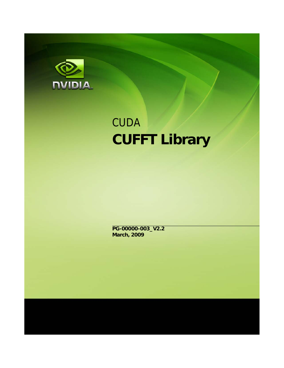

# **CUDA CUFFT Library**

**PG-00000-003\_V2.2 March, 2009**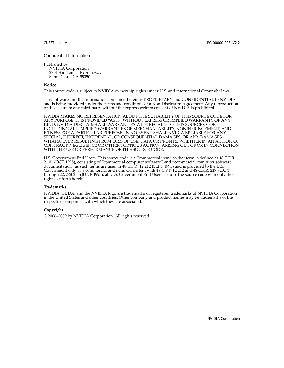#### Confidential Information

Published by NVIDIA Corporation 2701 San Tomas Expressway Santa Clara, CA 95050

#### **Notice**

This source code is subject to NVIDIA ownership rights under U.S. and international Copyright laws.

This software and the information contained herein is PROPRIETARY and CONFIDENTIAL to NVIDIA and is being provided under the terms and conditions of a Non‐Disclosure Agreement. Any reproduction or disclosure to any third party without the express written consent of NVIDIA is prohibited.

NVIDIA MAKES NO REPRESENTATION ABOUT THE SUITABILITY OF THIS SOURCE CODE FOR ANY PURPOSE. IT IS PROVIDED "AS IS" WITHOUT EXPRESS OR IMPLIED WARRANTY OF ANY KIND. NVIDIA DISCLAIMS ALL WARRANTIES WITH REGARD TO THIS SOURCE CODE, INCLUDING ALL IMPLIED WARRANTIES OF MERCHANTABILITY, NONINFRINGEMENT, AND FITNESS FOR A PARTICULAR PURPOSE. IN NO EVENT SHALL NVIDIA BE LIABLE FOR ANY SPECIAL, INDIRECT, INCIDENTAL, OR CONSEQUENTIAL DAMAGES, OR ANY DAMAGES WHATSOEVER RESULTING FROM LOSS OF USE, DATA OR PROFITS, WHETHER IN AN ACTION OF CONTRACT, NEGLIGENCE OR OTHER TORTIOUS ACTION, ARISING OUT OF OR IN CONNECTION WITH THE USE OR PERFORMANCE OF THIS SOURCE CODE.

U.S. Government End Users. This source code is a "commercial item" as that term is defined at 48 C.F.R. 2.101 (OCT 1995), consisting of "commercial computer software" and "commercial computer software documentation" as such terms are used in 48 C.F.R. 12.212 (SEPT 1995) and is provided to the U.S. Government only as a commercial end item. Consistent with 48 C.F.R.12.212 and 48 C.F.R. 227.7202‐1 through 227.7202‐4 (JUNE 1995), all U.S. Government End Users acquire the source code with only those rights set forth herein.

#### **Trademarks**

NVIDIA, CUDA, and the NVIDIA logo are trademarks or registered trademarks of NVIDIA Corporation in the United States and other countries. Other company and product names may be trademarks of the respective companies with which they are associated.

#### **Copyright**

© 2006–2009 by NVIDIA Corporation. All rights reserved.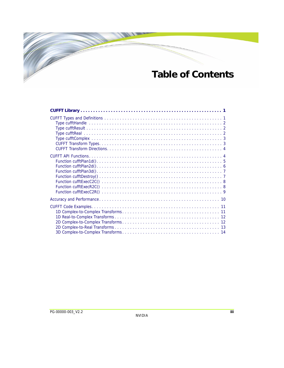# **Table of Contents**

 $\overline{\mathscr{C}}$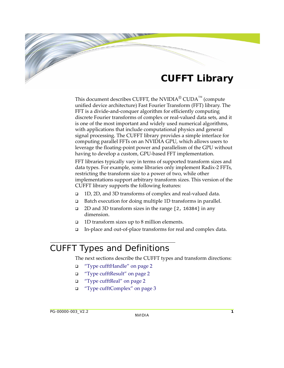# **CUFFT Library**

<span id="page-3-0"></span>This document describes CUFFT, the NVIDIA<sup>®</sup> CUDA<sup>™</sup> (compute unified device architecture) Fast Fourier Transform (FFT) library. The FFT is a divide-and-conquer algorithm for efficiently computing discrete Fourier transforms of complex or real‐valued data sets, and it is one of the most important and widely used numerical algorithms, with applications that include computational physics and general signal processing. The CUFFT library provides a simple interface for computing parallel FFTs on an NVIDIA GPU, which allows users to leverage the floating‐point power and parallelism of the GPU without having to develop a custom, GPU‐based FFT implementation.

FFT libraries typically vary in terms of supported transform sizes and data types. For example, some libraries only implement Radix‐2 FFTs, restricting the transform size to a power of two, while other implementations support arbitrary transform sizes. This version of the CUFFT library supports the following features:

- 1D, 2D, and 3D transforms of complex and real‐valued data.
- □ Batch execution for doing multiple 1D transforms in parallel.
- 2D and 3D transform sizes in the range [2, 16384] in any dimension.
- $\Box$  1D transform sizes up to 8 million elements.
- In‐place and out‐of‐place transforms for real and complex data.

# <span id="page-3-1"></span>CUFFT Types and Definitions

The next sections describe the CUFFT types and transform directions:

- "Type [cufftHandle"](#page-4-0) on page 2
- "Type [cufftResult"](#page-4-1) on page 2
- □ "Type [cufftReal"](#page-4-2) on page 2
- "Type [cufftComplex"](#page-5-0) on page 3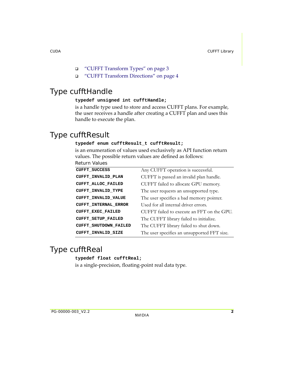- "CUFFT [Transform](#page-5-1) Types" on page 3
- □ "CUFFT Transform [Directions"](#page-6-0) on page 4

# <span id="page-4-0"></span>Type cufftHandle

#### **typedef unsigned int cufftHandle;**

is a handle type used to store and access CUFFT plans. For example, the user receives a handle after creating a CUFFT plan and uses this handle to execute the plan.

# <span id="page-4-1"></span>Type cufftResult

#### **typedef enum cufftResult\_t cufftResult;**

is an enumeration of values used exclusively as API function return values. The possible return values are defined as follows:

| <b>CUFFT SUCCESS</b>         | Any CUFFT operation is successful.          |
|------------------------------|---------------------------------------------|
| <b>CUFFT INVALID PLAN</b>    | CUFFT is passed an invalid plan handle.     |
| CUFFT ALLOC FAILED           | CUFFT failed to allocate GPU memory.        |
| CUFFT INVALID TYPE           | The user requests an unsupported type.      |
| CUFFT INVALID VALUE          | The user specifies a bad memory pointer.    |
| <b>CUFFT INTERNAL ERROR</b>  | Used for all internal driver errors.        |
| CUFFT_EXEC_FAILED            | CUFFT failed to execute an FFT on the GPU.  |
| <b>CUFFT SETUP FAILED</b>    | The CUFFT library failed to initialize.     |
| <b>CUFFT SHUTDOWN FAILED</b> | The CUFFT library failed to shut down.      |
| <b>CUFFT INVALID SIZE</b>    | The user specifies an unsupported FFT size. |

# <span id="page-4-2"></span>Type cufftReal

**typedef float cufftReal;**

is a single‐precision, floating‐point real data type.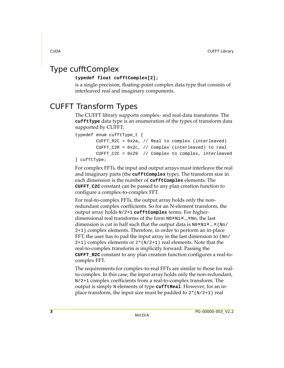# <span id="page-5-0"></span>Type cufftComplex

#### **typedef float cufftComplex[2];**

is a single‐precision, floating‐point complex data type that consists of interleaved real and imaginary components.

# <span id="page-5-1"></span>CUFFT Transform Types

The CUFFT library supports complex‐ and real‐data transforms. The **cufftType** data type is an enumeration of the types of transform data supported by CUFFT:

```
typedef enum cufftType_t {
         CUFFT_R2C = 0x2a, // Real to complex (interleaved)
         CUFFT_C2R = 0x2c, // Complex (interleaved) to real
         CUFFT_C2C = 0x29 // Complex to complex, interleaved
} cufftType;
```
For complex FFTs, the input and output arrays must interleave the real and imaginary parts (the **cufftComplex** type). The transform size in each dimension is the number of **cufftComplex** elements. The **CUFFT\_C2C** constant can be passed to any plan creation function to configure a complex‐to‐complex FFT.

For real-to-complex FFTs, the output array holds only the nonredundant complex coefficients. So for an N‐element transform, the output array holds N/2+1 **cufftComplex** terms. For higher‐ dimensional real transforms of the form  $N0 \times N1 \times ... \times Nn$ , the last dimension is cut in half such that the output data is  $N0 \times N1 \times ... \times (Nn)$ 2+1) complex elements. Therefore, in order to perform an in‐place FFT, the user has to pad the input array in the last dimension to (Nn/  $2+1$ ) complex elements or  $2*(N/2+1)$  real elements. Note that the real‐to‐complex transform is implicitly forward. Passing the **CUFFT\_R2C** constant to any plan creation function configures a real‐to‐ complex FFT.

The requirements for complex‐to‐real FFTs are similar to those for real‐ to-complex. In this case, the input array holds only the non-redundant, N/2+1 complex coefficients from a real‐to‐complex transform. The output is simply N elements of type **cufftReal**. However, for an in‐ place transform, the input size must be padded to  $2*(N/2+1)$  real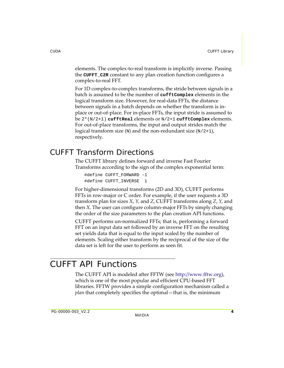elements. The complex‐to‐real transform is implicitly inverse. Passing the **CUFFT\_C2R** constant to any plan creation function configures a complex‐to‐real FFT.

For 1D complex-to-complex transforms, the stride between signals in a batch is assumed to be the number of **cufftComplex** elements in the logical transform size. However, for real‐data FFTs, the distance between signals in a batch depends on whether the transform is in‐ place or out‐of‐place. For in‐place FFTs, the input stride is assumed to be 2\*(N/2+1) **cufftReal** elements or N/2+1 **cufftComplex** elements. For out‐of‐place transforms, the input and output strides match the logical transform size (N) and the non-redundant size  $(N/2+1)$ , respectively.

# <span id="page-6-0"></span>CUFFT Transform Directions

The CUFFT library defines forward and inverse Fast Fourier Transforms according to the sign of the complex exponential term:

```
#define CUFFT_FORWARD -1
#define CUFFT_INVERSE 1
```
For higher-dimensional transforms (2D and 3D), CUFFT performs FFTs in row‐major or C order. For example, if the user requests a 3D transform plan for sizes *X*, *Y*, and *Z*, CUFFT transforms along *Z*, *Y*, and then *X*. The user can configure column‐major FFTs by simply changing the order of the size parameters to the plan creation API functions.

CUFFT performs un‐normalized FFTs; that is, performing a forward FFT on an input data set followed by an inverse FFT on the resulting set yields data that is equal to the input scaled by the number of elements. Scaling either transform by the reciprocal of the size of the data set is left for the user to perform as seen fit.

# <span id="page-6-1"></span>CUFFT API Functions

The CUFFT API is modeled after FFTW (see http://www.fftw.org), which is one of the most popular and efficient CPU‐based FFT libraries. FFTW provides a simple configuration mechanism called a *plan* that completely specifies the optimal—that is, the minimum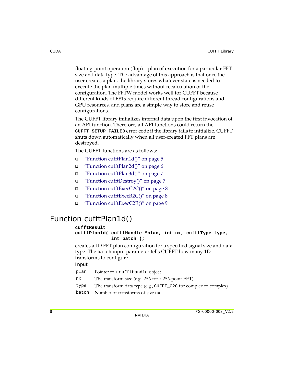floating‐point operation (flop)—plan of execution for a particular FFT size and data type. The advantage of this approach is that once the user creates a plan, the library stores whatever state is needed to execute the plan multiple times without recalculation of the configuration. The FFTW model works well for CUFFT because different kinds of FFTs require different thread configurations and GPU resources, and plans are a simple way to store and reuse configurations.

The CUFFT library initializes internal data upon the first invocation of an API function. Therefore, all API functions could return the **CUFFT\_SETUP\_FAILED** error code if the library fails to initialize. CUFFT shuts down automatically when all user‐created FFT plans are destroyed.

The CUFFT functions are as follows:

- "Function [cufftPlan1d\(\)"](#page-7-0) on page 5
- "Function [cufftPlan2d\(\)"](#page-8-0) on page 6
- "Function [cufftPlan3d\(\)"](#page-9-0) on page 7
- "Function [cufftDestroy\(\)"](#page-9-1) on page 7
- $\Box$  "Function [cufftExecC2C\(\)"](#page-10-0) on page 8
- "Function [cufftExecR2C\(\)"](#page-10-1) on page 8
- "Function [cufftExecC2R\(\)"](#page-11-0) on page 9

# <span id="page-7-0"></span>Function cufftPlan1d()

#### **cufftResult**

```
cufftPlan1d( cufftHandle *plan, int nx, cufftType type,
              int batch );
```
creates a 1D FFT plan configuration for a specified signal size and data type. The batch input parameter tells CUFFT how many 1D transforms to configure.

#### Input

| plan  | Pointer to a cufftHandle object                                  |
|-------|------------------------------------------------------------------|
| nx    | The transform size (e.g., 256 for a 256-point FFT)               |
| type  | The transform data type (e.g., CUFFT_C2C for complex to complex) |
| batch | Number of transforms of size nx                                  |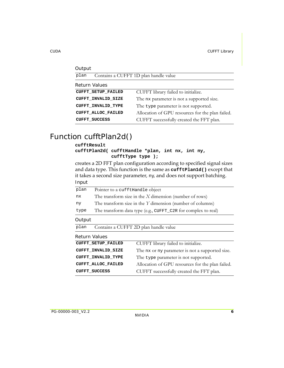| Output                    |                                                  |
|---------------------------|--------------------------------------------------|
| plan                      | Contains a CUFFT 1D plan handle value            |
| <b>Return Values</b>      |                                                  |
| <b>CUFFT SETUP FAILED</b> | CUFFT library failed to initialize.              |
| CUFFT INVALID SIZE        | The nx parameter is not a supported size.        |
| <b>CUFFT INVALID TYPE</b> | The type parameter is not supported.             |
| CUFFT ALLOC FAILED        | Allocation of GPU resources for the plan failed. |
| <b>CUFFT SUCCESS</b>      | CUFFT successfully created the FFT plan.         |

# <span id="page-8-0"></span>Function cufftPlan2d()

#### **cufftResult cufftPlan2d( cufftHandle \*plan, int nx, int ny, cufftType type );**

creates a 2D FFT plan configuration according to specified signal sizes and data type. This function is the same as **cufftPlan1d()** except that it takes a second size parameter, ny, and does not support batching.  $I \cdot n$ 

| mput                 |                                                             |                                                               |  |
|----------------------|-------------------------------------------------------------|---------------------------------------------------------------|--|
| plan                 | Pointer to a cufftHandle object                             |                                                               |  |
| nx                   |                                                             | The transform size in the $X$ dimension (number of rows)      |  |
| nу                   | The transform size in the $Y$ dimension (number of columns) |                                                               |  |
| type                 |                                                             | The transform data type (e.g., CUFFT_C2R for complex to real) |  |
| Output               |                                                             |                                                               |  |
| plan                 |                                                             | Contains a CUFFT 2D plan handle value                         |  |
| <b>Return Values</b> |                                                             |                                                               |  |
|                      | <b>CUFFT SETUP FAILED</b>                                   | CUFFT library failed to initialize.                           |  |
|                      | CUFFT INVALID SIZE                                          | The nx or ny parameter is not a supported size.               |  |
|                      | <b>CUFFT INVALID TYPE</b>                                   | The type parameter is not supported.                          |  |
|                      | CUFFT ALLOC FAILED                                          | Allocation of GPU resources for the plan failed.              |  |
|                      | <b>CUFFT SUCCESS</b>                                        | CUFFT successfully created the FFT plan.                      |  |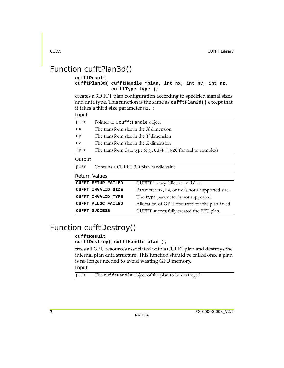# <span id="page-9-0"></span>Function cufftPlan3d()

#### **cufftResult**

#### **cufftPlan3d( cufftHandle \*plan, int nx, int ny, int nz, cufftType type );**

creates a 3D FFT plan configuration according to specified signal sizes and data type. This function is the same as **cufftPlan2d()** except that it takes a third size parameter nz. :

Input

| plan                 | Pointer to a cufftHandle object         |                                                               |
|----------------------|-----------------------------------------|---------------------------------------------------------------|
| nx                   | The transform size in the $X$ dimension |                                                               |
| ny                   | The transform size in the $Y$ dimension |                                                               |
| nz                   | The transform size in the Z dimension   |                                                               |
| type                 |                                         | The transform data type (e.g., CUFFT_R2C for real to complex) |
| Output               |                                         |                                                               |
| plan                 |                                         | Contains a CUFFT 3D plan handle value                         |
| Return Values        |                                         |                                                               |
|                      | <b>CUFFT SETUP FAILED</b>               | CUFFT library failed to initialize.                           |
|                      | CUFFT_INVALID_SIZE                      | Parameter nx, ny, or nz is not a supported size.              |
|                      | <b>CUFFT INVALID TYPE</b>               | The type parameter is not supported.                          |
|                      | CUFFT ALLOC FAILED                      | Allocation of GPU resources for the plan failed.              |
| <b>CUFFT SUCCESS</b> |                                         | CUFFT successfully created the FFT plan.                      |
|                      |                                         |                                                               |

# <span id="page-9-1"></span>Function cufftDestroy()

#### **cufftResult**

#### **cufftDestroy( cufftHandle plan );**

frees all GPU resources associated with a CUFFT plan and destroys the internal plan data structure. This function should be called once a plan is no longer needed to avoid wasting GPU memory.

Input

plan The cufftHandle object of the plan to be destroyed.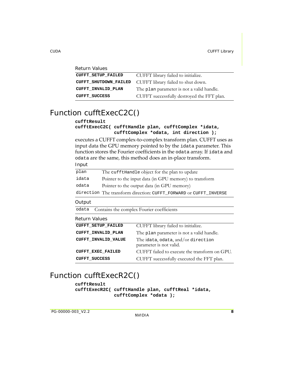| <b>Return Values</b>         |                                            |
|------------------------------|--------------------------------------------|
| <b>CUFFT SETUP FAILED</b>    | CUFFT library failed to initialize.        |
| <b>CUFFT SHUTDOWN FAILED</b> | CUFFT library failed to shut down.         |
| CUFFT INVALID PLAN           | The plan parameter is not a valid handle.  |
| <b>CUFFT SUCCESS</b>         | CUFFT successfully destroyed the FFT plan. |

# <span id="page-10-0"></span>Function cufftExecC2C()

#### **cufftResult**

#### **cufftExecC2C( cufftHandle plan, cufftComplex \*idata, cufftComplex \*odata, int direction );**

executes a CUFFT complex‐to‐complex transform plan. CUFFT uses as input data the GPU memory pointed to by the idata parameter. This function stores the Fourier coefficients in the odata array. If idata and odata are the same, this method does an in‐place transform. Input

| plan  | The cuffthandle object for the plan to update                     |
|-------|-------------------------------------------------------------------|
| idata | Pointer to the input data (in GPU memory) to transform            |
| odata | Pointer to the output data (in GPU memory)                        |
|       | direction The transform direction: CUFFT_FORWARD or CUFFT_INVERSE |

#### **Output**

odata Contains the complex Fourier coefficients

| Return values              |                                                               |
|----------------------------|---------------------------------------------------------------|
| <b>CUFFT SETUP FAILED</b>  | CUFFT library failed to initialize.                           |
| <b>CUFFT INVALID PLAN</b>  | The plan parameter is not a valid handle.                     |
| <b>CUFFT INVALID VALUE</b> | The idata, odata, and/or direction<br>parameter is not valid. |
| <b>CUFFT EXEC FAILED</b>   | CUFFT failed to execute the transform on GPU.                 |
| <b>CUFFT SUCCESS</b>       | CUFFT successfully executed the FFT plan.                     |
|                            |                                                               |

# <span id="page-10-1"></span>Function cufftExecR2C()

#### **cufftResult**

**cufftExecR2C( cufftHandle plan, cufftReal \*idata, cufftComplex \*odata );**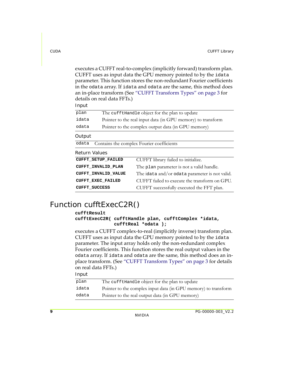executes a CUFFT real-to-complex (implicitly forward) transform plan. CUFFT uses as input data the GPU memory pointed to by the idata parameter. This function stores the non‐redundant Fourier coefficients in the odata array. If idata and odata are the same, this method does an in‐place transform (See "CUFFT [Transform](#page-5-1) Types" on page 3 for details on real data FFTs.)

| Input         |                            |                                                             |
|---------------|----------------------------|-------------------------------------------------------------|
| plan          |                            | The cuffthandle object for the plan to update               |
| idata         |                            | Pointer to the real input data (in GPU memory) to transform |
| odata         |                            | Pointer to the complex output data (in GPU memory)          |
| Output        |                            |                                                             |
| odata         |                            | Contains the complex Fourier coefficients                   |
| Return Values |                            |                                                             |
|               | <b>CUFFT SETUP FAILED</b>  | CUFFT library failed to initialize.                         |
|               | CUFFT INVALID PLAN         | The plan parameter is not a valid handle.                   |
|               | <b>CUFFT INVALID VALUE</b> | The idata and/or odata parameter is not valid.              |
|               |                            |                                                             |
|               | <b>CUFFT EXEC FAILED</b>   | CUFFT failed to execute the transform on GPU.               |

# <span id="page-11-0"></span>Function cufftExecC2R()

#### **cufftResult**

```
cufftExecC2R( cufftHandle plan, cufftComplex *idata,
              cufftReal *odata );
```
executes a CUFFT complex‐to‐real (implicitly inverse) transform plan. CUFFT uses as input data the GPU memory pointed to by the idata parameter. The input array holds only the non‐redundant complex Fourier coefficients. This function stores the real output values in the odata array. If idata and odata are the same, this method does an in‐ place transform. (See "CUFFT [Transform](#page-5-1) Types" on page 3 for details on real data FFTs.)

#### Input

| plan  | The cufftHandle object for the plan to update                  |
|-------|----------------------------------------------------------------|
| idata | Pointer to the complex input data (in GPU memory) to transform |
| odata | Pointer to the real output data (in GPU memory)                |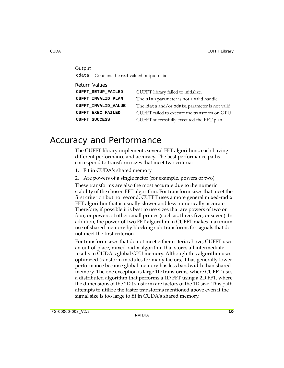| Output                                        |                                                |  |  |
|-----------------------------------------------|------------------------------------------------|--|--|
| odata<br>Contains the real-valued output data |                                                |  |  |
| Return Values                                 |                                                |  |  |
| <b>CUFFT SETUP FAILED</b>                     | CUFFT library failed to initialize.            |  |  |
| CUFFT INVALID PLAN                            | The plan parameter is not a valid handle.      |  |  |
| <b>CUFFT INVALID VALUE</b>                    | The idata and/or odata parameter is not valid. |  |  |
| <b>CUFFT EXEC FAILED</b>                      | CUFFT failed to execute the transform on GPU.  |  |  |
| <b>CUFFT SUCCESS</b>                          | CUFFT successfully executed the FFT plan.      |  |  |

# <span id="page-12-0"></span>Accuracy and Performance

The CUFFT library implements several FFT algorithms, each having different performance and accuracy. The best performance paths correspond to transform sizes that meet two criteria:

- **1.** Fit in CUDAʹs shared memory
- **2.** Are powers of a single factor (for example, powers of two)

These transforms are also the most accurate due to the numeric stability of the chosen FFT algorithm. For transform sizes that meet the first criterion but not second, CUFFT uses a more general mixed‐radix FFT algorithm that is usually slower and less numerically accurate. Therefore, if possible it is best to use sizes that are powers of two or four, or powers of other small primes (such as, three, five, or seven). In addition, the power‐of‐two FFT algorithm in CUFFT makes maximum use of shared memory by blocking sub‐transforms for signals that do not meet the first criterion.

For transform sizes that do not meet either criteria above, CUFFT uses an out‐of‐place, mixed‐radix algorithm that stores all intermediate results in CUDAʹs global GPU memory. Although this algorithm uses optimized transform modules for many factors, it has generally lower performance because global memory has less bandwidth than shared memory. The one exception is large 1D transforms, where CUFFT uses a distributed algorithm that performs a 1D FFT using a 2D FFT, where the dimensions of the 2D transform are factors of the 1D size. This path attempts to utilize the faster transforms mentioned above even if the signal size is too large to fit in CUDA's shared memory.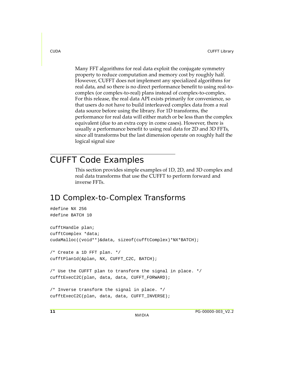Many FFT algorithms for real data exploit the conjugate symmetry property to reduce computation and memory cost by roughly half. However, CUFFT does not implement any specialized algorithms for real data, and so there is no direct performance benefit to using real-tocomplex (or complex‐to‐real) plans instead of complex‐to‐complex. For this release, the real data API exists primarily for convenience, so that users do not have to build interleaved complex data from a real data source before using the library. For 1D transforms, the performance for real data will either match or be less than the complex equivalent (due to an extra copy in come cases). However, there is usually a performance benefit to using real data for 2D and 3D FFTs, since all transforms but the last dimension operate on roughly half the logical signal size

# <span id="page-13-0"></span>CUFFT Code Examples

This section provides simple examples of 1D, 2D, and 3D complex and real data transforms that use the CUFFT to perform forward and inverse FFTs.

# <span id="page-13-1"></span>1D Complex-to-Complex Transforms

```
#define NX 256
#define BATCH 10
cufftHandle plan;
cufftComplex *data;
cudaMalloc((void**)&data, sizeof(cufftComplex)*NX*BATCH);
/* Create a 1D FFT plan. */
cufftPlan1d(&plan, NX, CUFFT_C2C, BATCH);
/* Use the CUFFT plan to transform the signal in place. */
cufftExecC2C(plan, data, data, CUFFT_FORWARD);
/* Inverse transform the signal in place. */
cufftExecC2C(plan, data, data, CUFFT INVERSE);
```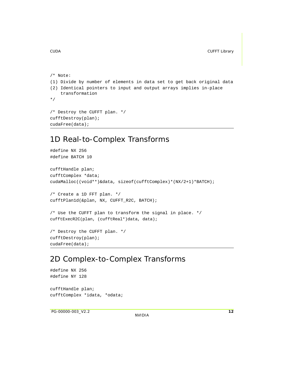cudaFree(data);

```
/* Note:
(1) Divide by number of elements in data set to get back original data
(2) Identical pointers to input and output arrays implies in-place
    transformation
*/
/* Destroy the CUFFT plan. */
cufftDestroy(plan);
```
### <span id="page-14-0"></span>1D Real-to-Complex Transforms

```
#define NX 256
#define BATCH 10
cufftHandle plan;
cufftComplex *data;
cudaMalloc((void**)&data, sizeof(cufftComplex)*(NX/2+1)*BATCH);
/* Create a 1D FFT plan. */
cufftPlan1d(&plan, NX, CUFFT_R2C, BATCH);
/* Use the CUFFT plan to transform the signal in place. */
cufftExecR2C(plan, (cufftReal*)data, data);
/* Destroy the CUFFT plan. */
cufftDestroy(plan);
cudaFree(data);
```
# <span id="page-14-1"></span>2D Complex-to-Complex Transforms

```
#define NX 256
#define NY 128
cufftHandle plan;
cufftComplex *idata, *odata;
```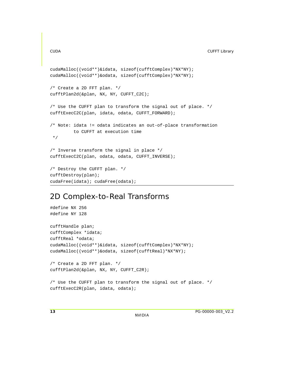```
cudaMalloc((void**)&idata, sizeof(cufftComplex)*NX*NY);
cudaMalloc((void**)&odata, sizeof(cufftComplex)*NX*NY);
/* Create a 2D FFT plan. */
cufftPlan2d(&plan, NX, NY, CUFFT_C2C);
/* Use the CUFFT plan to transform the signal out of place. */
cufftExecC2C(plan, idata, odata, CUFFT_FORWARD);
/* Note: idata != odata indicates an out-of-place transformation
          to CUFFT at execution time
 */
/* Inverse transform the signal in place */
cufftExecC2C(plan, odata, odata, CUFFT_INVERSE);
/* Destroy the CUFFT plan. */
cufftDestroy(plan);
cudaFree(idata); cudaFree(odata);
```
### <span id="page-15-0"></span>2D Complex-to-Real Transforms

```
#define NX 256
#define NY 128
cufftHandle plan;
cufftComplex *idata;
cufftReal *odata;
cudaMalloc((void**)&idata, sizeof(cufftComplex)*NX*NY);
cudaMalloc((void**)&odata, sizeof(cufftReal)*NX*NY);
/* Create a 2D FFT plan. */
cufftPlan2d(&plan, NX, NY, CUFFT_C2R);
/* Use the CUFFT plan to transform the signal out of place. */
cufftExecC2R(plan, idata, odata);
```